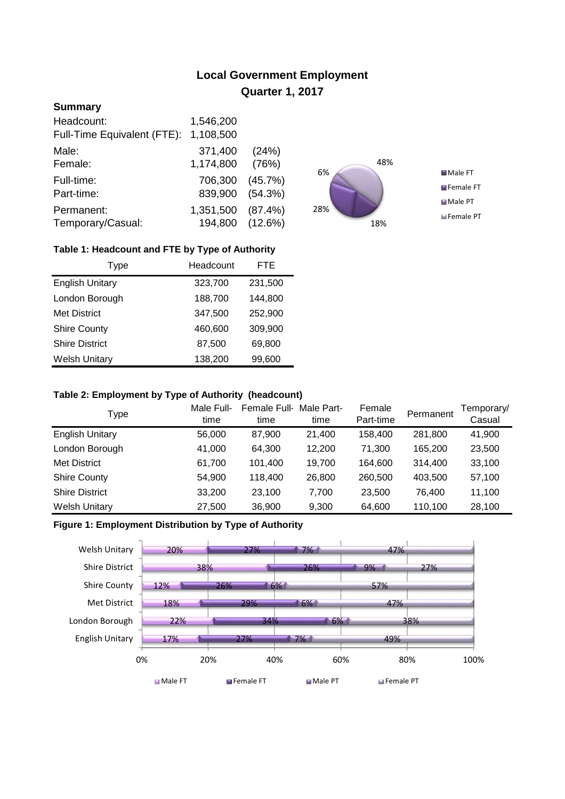# **Local Government Employment Quarter 1, 2017**

## **Summary**

| Headcount:                  | 1,546,200       |         |
|-----------------------------|-----------------|---------|
| Full-Time Equivalent (FTE): | 1,108,500       |         |
| Male:                       | 371,400         | (24%)   |
| Female:                     | 1,174,800       | (76%)   |
| Full-time:                  | 706,300         | (45.7%) |
| Part-time:                  | 839,900         | (54.3%) |
| Permanent:                  | 1,351,500       | (87.4%) |
| Temporary/Casual:           | 194,800 (12.6%) |         |



## **Table 1: Headcount and FTE by Type of Authority**

| Type                   | Headcount | FTE     |
|------------------------|-----------|---------|
| <b>English Unitary</b> | 323,700   | 231,500 |
| London Borough         | 188,700   | 144,800 |
| <b>Met District</b>    | 347,500   | 252,900 |
| <b>Shire County</b>    | 460,600   | 309,900 |
| <b>Shire District</b>  | 87,500    | 69,800  |
| <b>Welsh Unitary</b>   | 138,200   | 99,600  |

#### **Table 2: Employment by Type of Authority (headcount)**

| Type                   | Male Full-<br>time | Female Full-<br>time | Male Part-<br>time | Female<br>Part-time | Permanent | Temporary/<br>Casual |
|------------------------|--------------------|----------------------|--------------------|---------------------|-----------|----------------------|
| <b>English Unitary</b> | 56,000             | 87,900               | 21,400             | 158,400             | 281,800   | 41,900               |
| London Borough         | 41,000             | 64,300               | 12.200             | 71.300              | 165,200   | 23,500               |
| <b>Met District</b>    | 61,700             | 101,400              | 19,700             | 164,600             | 314,400   | 33,100               |
| <b>Shire County</b>    | 54,900             | 118,400              | 26,800             | 260,500             | 403,500   | 57,100               |
| <b>Shire District</b>  | 33,200             | 23,100               | 7.700              | 23,500              | 76.400    | 11,100               |
| <b>Welsh Unitary</b>   | 27,500             | 36,900               | 9,300              | 64,600              | 110,100   | 28,100               |

## **Figure 1: Employment Distribution by Type of Authority**